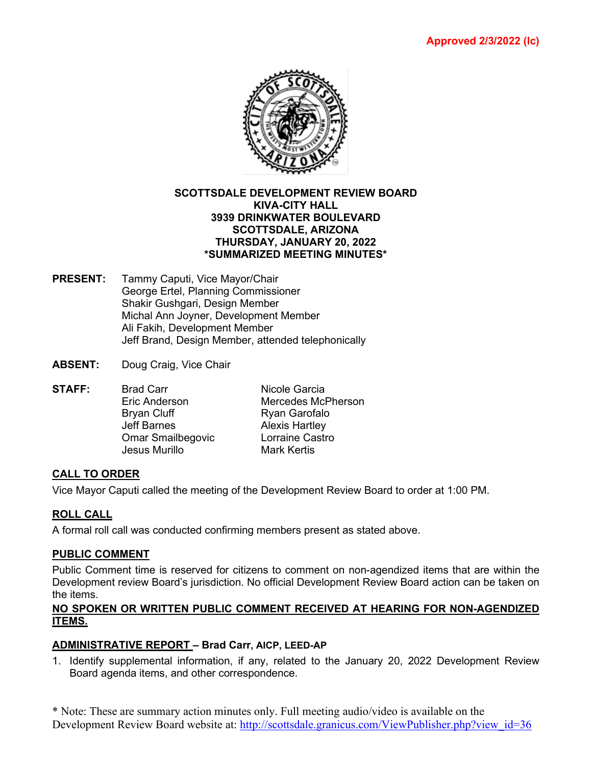

### **SCOTTSDALE DEVELOPMENT REVIEW BOARD KIVA-CITY HALL 3939 DRINKWATER BOULEVARD SCOTTSDALE, ARIZONA THURSDAY, JANUARY 20, 2022 \*SUMMARIZED MEETING MINUTES\***

- **PRESENT:** Tammy Caputi, Vice Mayor/Chair George Ertel, Planning Commissioner Shakir Gushgari, Design Member Michal Ann Joyner, Development Member Ali Fakih, Development Member Jeff Brand, Design Member, attended telephonically
- **ABSENT:** Doug Craig, Vice Chair
- **STAFF:** Brad Carr **Nicole Garcia**<br>Fric Anderson Mercedes Mc Mercedes McPherson Brvan Cluff **Ryan Garofalo** Jeff Barnes<br>
Omar Smailbegovic<br>
Corraine Castro Omar Smailbegovic Jesus Murillo **Mark Kertis**

## **CALL TO ORDER**

Vice Mayor Caputi called the meeting of the Development Review Board to order at 1:00 PM.

## **ROLL CALL**

A formal roll call was conducted confirming members present as stated above.

#### **PUBLIC COMMENT**

Public Comment time is reserved for citizens to comment on non-agendized items that are within the Development review Board's jurisdiction. No official Development Review Board action can be taken on the items.

#### **NO SPOKEN OR WRITTEN PUBLIC COMMENT RECEIVED AT HEARING FOR NON-AGENDIZED ITEMS.**

#### **ADMINISTRATIVE REPORT – Brad Carr, AICP, LEED-AP**

1. Identify supplemental information, if any, related to the January 20, 2022 Development Review Board agenda items, and other correspondence.

\* Note: These are summary action minutes only. Full meeting audio/video is available on the Development Review Board website at: [http://scottsdale.granicus.com/ViewPublisher.php?view\\_id=36](http://scottsdale.granicus.com/ViewPublisher.php?view_id=36)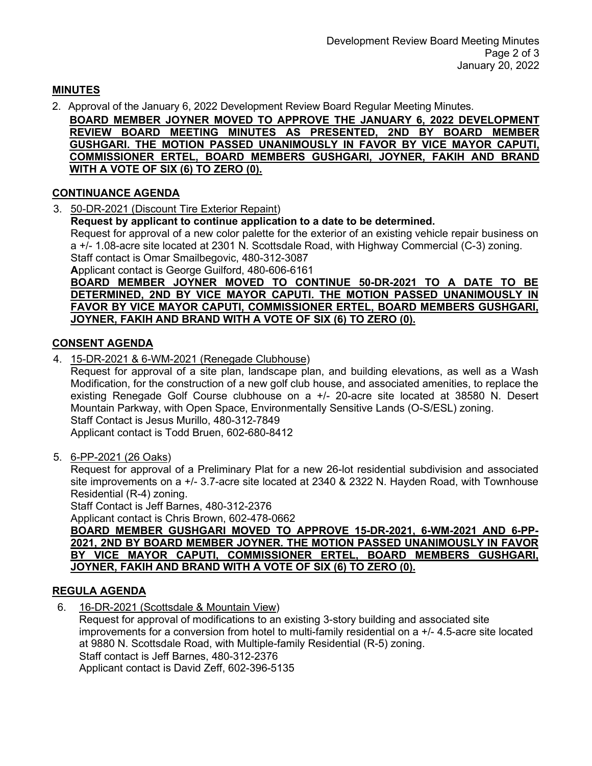# **MINUTES**

2. Approval of the January 6, 2022 Development Review Board Regular Meeting Minutes.

**BOARD MEMBER JOYNER MOVED TO APPROVE THE JANUARY 6, 2022 DEVELOPMENT REVIEW BOARD MEETING MINUTES AS PRESENTED, 2ND BY BOARD MEMBER GUSHGARI. THE MOTION PASSED UNANIMOUSLY IN FAVOR BY VICE MAYOR CAPUTI, COMMISSIONER ERTEL, BOARD MEMBERS GUSHGARI, JOYNER, FAKIH AND BRAND WITH A VOTE OF SIX (6) TO ZERO (0).**

# **CONTINUANCE AGENDA**

3. 50-DR-2021 (Discount Tire Exterior Repaint)

**Request by applicant to continue application to a date to be determined.**

Request for approval of a new color palette for the exterior of an existing vehicle repair business on a +/- 1.08-acre site located at 2301 N. Scottsdale Road, with Highway Commercial (C-3) zoning. Staff contact is Omar Smailbegovic, 480-312-3087

**A**pplicant contact is George Guilford, 480-606-6161

**BOARD MEMBER JOYNER MOVED TO CONTINUE 50-DR-2021 TO A DATE TO BE DETERMINED, 2ND BY VICE MAYOR CAPUTI. THE MOTION PASSED UNANIMOUSLY IN FAVOR BY VICE MAYOR CAPUTI, COMMISSIONER ERTEL, BOARD MEMBERS GUSHGARI, JOYNER, FAKIH AND BRAND WITH A VOTE OF SIX (6) TO ZERO (0).**

# **CONSENT AGENDA**

4. 15-DR-2021 & 6-WM-2021 (Renegade Clubhouse)

Request for approval of a site plan, landscape plan, and building elevations, as well as a Wash Modification, for the construction of a new golf club house, and associated amenities, to replace the existing Renegade Golf Course clubhouse on a +/- 20-acre site located at 38580 N. Desert Mountain Parkway, with Open Space, Environmentally Sensitive Lands (O-S/ESL) zoning. Staff Contact is Jesus Murillo, 480-312-7849 Applicant contact is Todd Bruen, 602-680-8412

5. 6-PP-2021 (26 Oaks)

Request for approval of a Preliminary Plat for a new 26-lot residential subdivision and associated site improvements on a +/- 3.7-acre site located at 2340 & 2322 N. Hayden Road, with Townhouse Residential (R-4) zoning.

Staff Contact is Jeff Barnes, 480-312-2376

Applicant contact is Chris Brown, 602-478-0662

**BOARD MEMBER GUSHGARI MOVED TO APPROVE 15-DR-2021, 6-WM-2021 AND 6-PP-2021, 2ND BY BOARD MEMBER JOYNER. THE MOTION PASSED UNANIMOUSLY IN FAVOR BY VICE MAYOR CAPUTI, COMMISSIONER ERTEL, BOARD MEMBERS GUSHGARI, JOYNER, FAKIH AND BRAND WITH A VOTE OF SIX (6) TO ZERO (0).**

# **REGULA AGENDA**

6. 16-DR-2021 (Scottsdale & Mountain View)

Request for approval of modifications to an existing 3-story building and associated site improvements for a conversion from hotel to multi-family residential on a +/- 4.5-acre site located at 9880 N. Scottsdale Road, with Multiple-family Residential (R-5) zoning. Staff contact is Jeff Barnes, 480-312-2376 Applicant contact is David Zeff, 602-396-5135